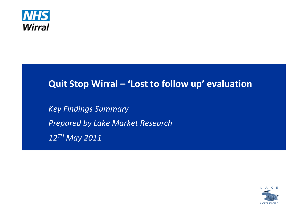

# **Quit Stop Wirral – 'Lost to follow up' evaluation**

*Key Findings Summary Prepared by Lake Market Research 12TH May 2011*

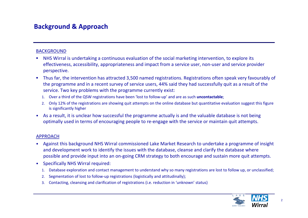## **Background & Approach**

#### BACKGROUND

- П NHS Wirral is undertaking <sup>a</sup> continuous evaluation of the social marketing intervention, to explore its effectiveness, accessibility, appropriateness and impact from <sup>a</sup> service user, non‐user and service provider perspective.
- $\mathbf{r}$  Thus far, the intervention has attracted 3,500 named registrations. Registrations often speak very favourably of the programme and in <sup>a</sup> recent survey of service users, 44% said they had successfully quit as <sup>a</sup> result of the service. Two key problems with the programme currently exist:
	- 1. Over a third of the QSW registrations have been 'lost to follow‐up' and are as such **uncontactable**;
	- 2. Only 12% of the registrations are showing quit attempts on the online database but quantitative evaluation suggest this figure is significantly higher
- $\bullet$  As <sup>a</sup> result, it is unclear how successful the programme actually is and the valuable database is not being optimally used in terms of encouraging people to re‐engage with the service or maintain quit attempts.

#### APPROACH

- • Against this background NHS Wirral commissioned Lake Market Research to undertake <sup>a</sup> programme of insight and development work to identify the issues with the database, cleanse and clarify the database where possible and provide input into an on‐going CRM strategy to both encourage and sustain more quit attempts.
- • Specifically NHS Wirral required:
	- 1. Database exploration and contact management to understand why so many registrations are lost to follow up, or unclassified;
	- 2.Segmentation of lost to follow-up registrations (logistically and attitudinally);
	- 3. Contacting, cleansing and clarification of registrations (i.e. reduction in 'unknown' status)

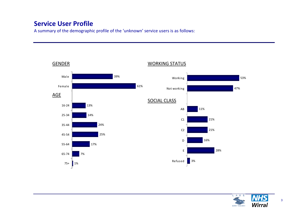## **Service User Profile**

A summary of the demographic profile of the 'unknown' service users is as follows:



#### L A K Е Wirral MARKET RESEARCH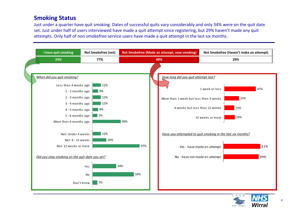### **Smoking Status**

Just under a quarter have quit smoking. Dates of successful quits vary considerably and only 34% were on the quit date set. Just under half of users interviewed have made <sup>a</sup> quit attempt since registering, but 29% haven't made any quit attempts. Only half of non smokefree service users have made <sup>a</sup> quit attempt in the last six months.



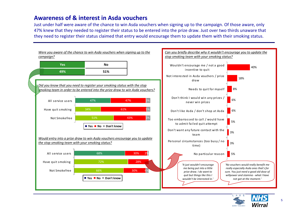### **Awareness of & interest in Asda vouchers**

Just under half were aware of the chance to win Asda vouchers when signing up to the campaign. Of those aware, only 47% knew that they needed to register their status to be entered into the prize draw. Just over two thirds unaware that they need to register their status claimed that entry would encourage them to update them with their smoking status.



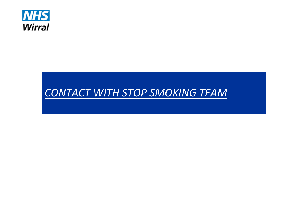

# *CONTACT WITH STOP SMOKING TEAM*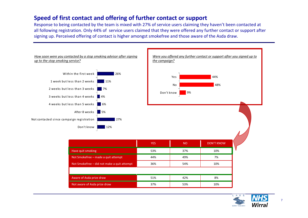### **Speed of first contact and offering of further contact or support**

Response to being contacted by the team is mixed with 27% of service users claiming they haven't been contacted at all following registration. Only 44% of service users claimed that they were offered any further contact or support after signing up. Perceived offering of contact is higher amongst smokefree and those aware of the Asda draw.



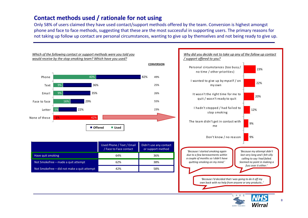### **Contact methods used / rationale for not using**

Only 58% of users claimed they have used contact/support methods offered by the team. Conversion is highest amongst phone and face to face methods, suggesting that these are the most successful in supporting users. The primary reasons for not taking up follow up contact are personal circumstances, wanting to give up by themselves and not being ready to give up.



|                                             | Used Phone / Text / Email<br>/ Face to Face contact | Didn't use any contact<br>or support method |
|---------------------------------------------|-----------------------------------------------------|---------------------------------------------|
| Have quit smoking                           | 64%                                                 | 36%                                         |
| Not Smokefree – made a quit attempt         | 62%                                                 | 38%                                         |
| Not Smokefree – did not make a quit attempt | 42%                                                 | 58%                                         |



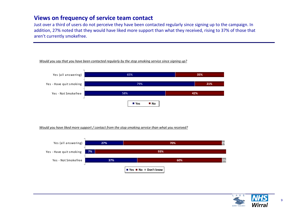### **Views on frequency of service team contact**

Just over a third of users do not perceive they have been contacted regularly since signing up to the campaign. In addition, 27% noted that they would have liked more support than what they received, rising to 37% of those that aren't currently smokefree.



*Would you say that you have been contacted regularly by the stop smoking service since signing up?*



*Would you have liked more support / contact from the stop smoking service than what you received?*



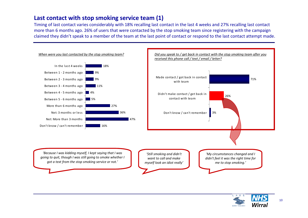### **Last contact with stop smoking service team (1)**

Timing of last contact varies considerably with 18% recalling last contact in the last 4 weeks and 27% recalling last contact more than 6 months ago. 26% of users that were contacted by the stop smoking team since registering with the campaign claimed they didn't speak to <sup>a</sup> member of the team at the last point of contact or respond to the last contact attempt made.



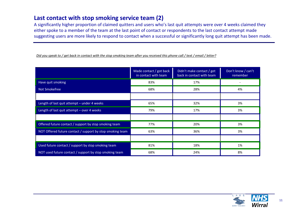### **Last contact with stop smoking service team (2)**

A significantly higher proportion of claimed quitters and users who's last quit attempts were over 4 weeks claimed they either spoke to <sup>a</sup> member of the team at the last point of contact or respondents to the last contact attempt made suggesting users are more likely to respond to contact when <sup>a</sup> successful or significantly long quit attempt has been made.

Did you speak to / get back in contact with the stop smoking team after you received this phone call / text / email / letter?

|                                                           | Made contact / got back<br>in contact with team | Didn't make contact / get<br>back in contact with team | Don't know / can't<br>remember |
|-----------------------------------------------------------|-------------------------------------------------|--------------------------------------------------------|--------------------------------|
| Have quit smoking                                         | 83%                                             | 17%                                                    |                                |
| Not Smokefree                                             | 68%                                             | 28%                                                    | 4%                             |
|                                                           |                                                 |                                                        |                                |
| Length of last quit attempt - under 4 weeks               | 65%                                             | 32%                                                    | 3%                             |
| Length of last quit attempt - over 4 weeks                | 79%                                             | 17%                                                    | 3%                             |
|                                                           |                                                 |                                                        |                                |
| Offered future contact / support by stop smoking team     | 77%                                             | 20%                                                    | 3%                             |
| NOT Offered future contact / support by stop smoking team | 63%                                             | 36%                                                    | 3%                             |
|                                                           |                                                 |                                                        |                                |
| Used future contact / support by stop smoking team        | 81%                                             | 18%                                                    | 1%                             |
| NOT used future contact / support by stop smoking team    | 68%                                             | 24%                                                    | 8%                             |

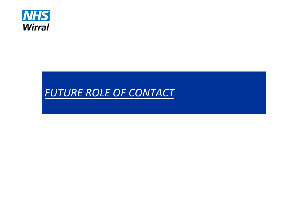

# *FUTURE ROLE OF CONTACT*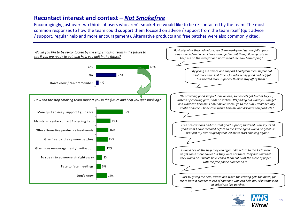### **Recontact interest and context –** *Not Smokefree*

Encouragingly, just over two thirds of users who aren't smokefree would like to be re‐contacted by the team. The most common responses to how the team could support them focused on advice / support from the team itself (quit advice / support, regular help and more encouragement). Alternative products and free patches were also commonly cited.



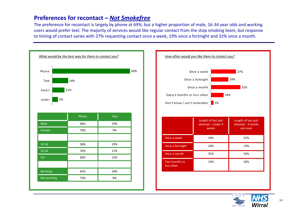### **Preferences for recontact –** *Not Smokefree*

The preference for recontact is largely by phone at 69%, but <sup>a</sup> higher proportion of male, 16‐34 year olds and working users would prefer text. The majority of services would like regular contact from the stop smoking team, but response to timing of contact varies with 27% requesting contact once <sup>a</sup> week, 19% once <sup>a</sup> fortnight and 32% once <sup>a</sup> month.





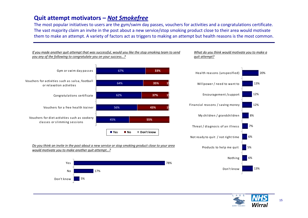### **Quit attempt motivators –** *Not Smokefree*

The most popular initiatives to users are the gym/swim day passes, vouchers for activities and <sup>a</sup> congratulations certificate. The vast majority claim an invite in the post about <sup>a</sup> new service/stop smoking product close to their area would motivate them to make an attempt. A variety of factors act as triggers to making an attempt but health reasons is the most common.



*If you made another quit attempt that was successful, would you like the stop smoking team to send*

#### <u>Do you think an invite in the post about a new service or stop smoking product close to your area</u> *would motivate you to make another quit attempt…?*







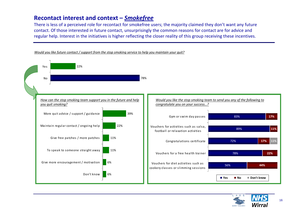### **Recontact interest and context –** *Smokefree*

There is less of <sup>a</sup> perceived role for recontact for smokefree users; the majority claimed they don't want any future contact. Of those interested in future contact, unsurprisingly the common reasons for contact are for advice and regular help. Interest in the initiatives is higher reflecting the closer reality of this group receiving these incentives.



Would you like future contact / support from the stop smoking service to help you maintain your quit?

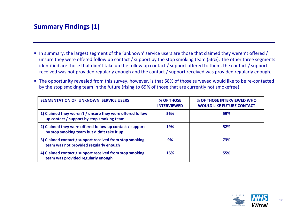# **Summary Findings (1)**

- In summary, the largest segment of the 'unknown' service users are those that claimed they weren't offered / unsure they were offered follow up contact / support by the stop smoking team (56%). The other three segments identified are those that didn't take up the follow up contact / support offered to them, the contact / support received was not provided regularly enough and the contact / support received was provided regularly enough.
- The opportunity revealed from this survey, however, is that 58% of those surveyed would like to be re-contacted by the stop smoking team in the future (rising to 69% of those that are currently not smokefree).

| <b>SEGMENTATION OF 'UNKNOWN' SERVICE USERS</b>                                                         | % OF THOSE<br><b>INTERVIEWED</b> | % OF THOSE INTERVIEWED WHO<br><b>WOULD LIKE FUTURE CONTACT</b> |
|--------------------------------------------------------------------------------------------------------|----------------------------------|----------------------------------------------------------------|
| 1) Claimed they weren't / unsure they were offered follow<br>up contact / support by stop smoking team | 56%                              | 59%                                                            |
| 2) Claimed they were offered follow up contact / support<br>by stop smoking team but didn't take it up | <b>19%</b>                       | 52%                                                            |
| 3) Claimed contact / support received from stop smoking<br>team was not provided regularly enough      | 9%                               | 73%                                                            |
| 4) Claimed contact / support received from stop smoking<br>team was provided regularly enough          | 16%                              | 55%                                                            |

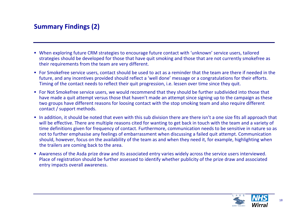# **Summary Findings (2)**

- When exploring future CRM strategies to encourage future contact with 'unknown' service users, tailored strategies should be developed for those that have quit smoking and those that are not currently smokefree as their requirements from the team are very different.
- For Smokefree service users, contact should be used to act as <sup>a</sup> reminder that the team are there if needed in the future, and any incentives provided should reflect <sup>a</sup> 'well done' message or <sup>a</sup> congratulations for their efforts. Timing of the contact needs to reflect their quit progression, i.e. lessen over time since they quit.
- For Not Smokefree service users, we would recommend that they should be further subdivided into those that have made <sup>a</sup> quit attempt versus those that haven't made an attempt since signing up to the campaign as these two groups have different reasons for loosing contact with the stop smoking team and also require different contact / support methods.
- In addition, it should be noted that even with this sub division there are there isn't a one size fits all approach that will be effective. There are multiple reasons cited for wanting to get back in touch with the team and <sup>a</sup> variety of time definitions given for frequency of contact. Furthermore, communication needs to be sensitive in nature so as not to further emphasise any feelings of embarrassment when discussing <sup>a</sup> failed quit attempt. Communication should, however, focus on the availability of the team as and when they need it, for example, highlighting when the trailers are coming back to the area.
- Awareness of the Asda prize draw and its associated entry varies widely across the service users interviewed. Place of registration should be further assessed to identify whether publicity of the prize draw and associated entry impacts overall awareness.

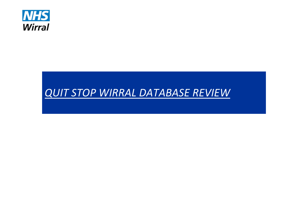

# *QUIT STOP WIRRAL DATABASE REVIEW*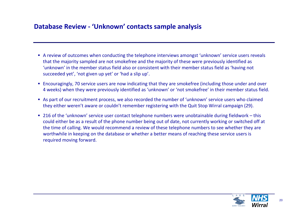# **Database Review ‐ 'Unknown' contacts sample analysis**

- A review of outcomes when conducting the telephone interviews amongst 'unknown' service users reveals that the majority sampled are not smokefree and the majority of these were previously identified as 'unknown' in the member status field also or consistent with their member status field as 'having not succeeded yet', 'not given up yet' or 'had <sup>a</sup> slip up'.
- Encouragingly, 70 service users are now indicating that they are smokefree (including those under and over 4 weeks) when they were previously identified as 'unknown' or 'not smokefree' in their member status field.
- As part of our recruitment process, we also recorded the number of 'unknown' service users who claimed they either weren't aware or couldn't remember registering with the Quit Stop Wirral campaign (29).
- 216 of the 'unknown' service user contact telephone numbers were unobtainable during fieldwork this could either be as <sup>a</sup> result of the phone number being out of date, not currently working or switched off at the time of calling. We would recommend <sup>a</sup> review of these telephone numbers to see whether they are worthwhile in keeping on the database or whether <sup>a</sup> better means of reaching these service users is required moving forward.

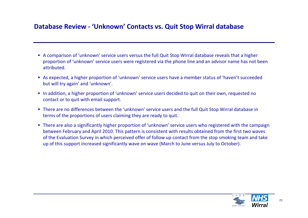## **Database Review ‐ 'Unknown' Contacts vs. Quit Stop Wirral database**

- A comparison of 'unknown' service users versus the full Quit Stop Wirral database reveals that <sup>a</sup> higher proportion of 'unknown' service users were registered via the phone line and an advisor name has not been attributed.
- As expected, <sup>a</sup> higher proportion of 'unknown' service users have <sup>a</sup> member status of 'haven't succeeded but will try again' and 'unknown'.
- **Iom** In addition, a higher proportion of 'unknown' service users decided to quit on their own, requested no contact or to quit with email support.
- There are no differences between the 'unknown' service users and the full Quit Stop Wirral database in terms of the proportions of users claiming they are ready to quit.
- There are also <sup>a</sup> significantly higher proportion of 'unknown' service users who registered with the campaign between February and April 2010. This pattern is consistent with results obtained from the first two waves of the Evaluation Survey in which perceived offer of follow up contact from the stop smoking team and take up of this support increased significantly wave on wave (March to June versus July to October).